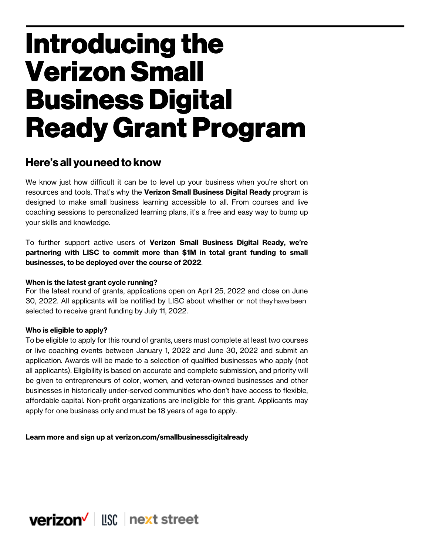# **Introducing the Verizon Small Business Digital Ready Grant Program**

# **Here's all you need to know**

We know just how difficult it can be to level up your business when you're short on resources and tools. That's why the **Verizon Small Business Digital Ready** program is designed to make small business learning accessible to all. From courses and live coaching sessions to personalized learning plans, it's a free and easy way to bump up your skills and knowledge.

To further support active users of **Verizon Small Business Digital Ready, we're partnering with LISC to commit more than \$1M in total grant funding to small businesses, to be deployed over the course of 2022**.

# **When is the latest grant cycle running?**

For the latest round of grants, applications open on April 25, 2022 and close on June 30, 2022. All applicants will be notified by LISC about whether or not they have been selected to receive grant funding by July 11, 2022.

# **Who is eligible to apply?**

To be eligible to apply for this round of grants, users must complete at least two courses or live coaching events between January 1, 2022 and June 30, 2022 and submit an application. Awards will be made to a selection of qualified businesses who apply (not all applicants). Eligibility is based on accurate and complete submission, and priority will be given to entrepreneurs of color, women, and veteran-owned businesses and other businesses in historically under-served communities who don't have access to flexible, affordable capital. Non-profit organizations are ineligible for this grant. Applicants may apply for one business only and must be 18 years of age to apply.

**Learn more and sign up at verizon.com/smallbusinessdigitalready**

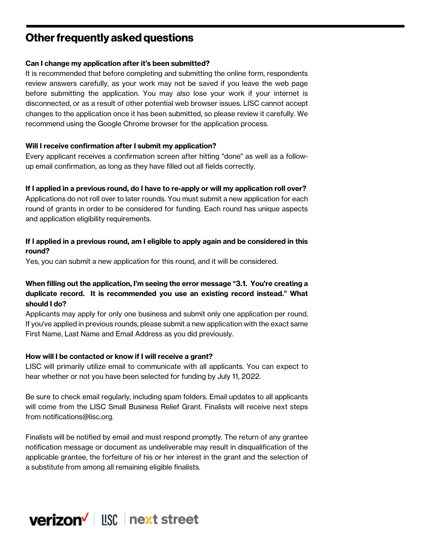# **Other frequently asked questions**

#### **Can I change my application after it's been submitted?**

It is recommended that before completing and submitting the online form, respondents review answers carefully, as your work may not be saved if you leave the web page before submitting the application. You may also lose your work if your internet is disconnected, or as a result of other potential web browser issues. LISC cannot accept changes to the application once it has been submitted, so please review it carefully. We recommend using the Google Chrome browser for the application process.

#### **Will I receive confirmation after I submit my application?**

Every applicant receives a confirmation screen after hitting "done" as well as a followup email confirmation, as long as they have filled out all fields correctly.

#### **If I applied in a previous round, do I have to re-apply or will my application roll over?**

Applications do not roll over to later rounds. You must submit a new application for each round of grants in order to be considered for funding. Each round has unique aspects and application eligibility requirements.

## **If I applied in a previous round, am I eligible to apply again and be considered in this round?**

Yes, you can submit a new application for this round, and it will be considered.

### **When filling out the application, I'm seeing the error message "3.1. You're creating a duplicate record. It is recommended you use an existing record instead." What should I do?**

Applicants may apply for only one business and submit only one application per round. If you've applied in previous rounds, please submit a new application with the exact same First Name, Last Name and Email Address as you did previously.

#### **How will I be contacted or know if I will receive a grant?**

LISC will primarily utilize email to communicate with all applicants. You can expect to hear whether or not you have been selected for funding by July 11, 2022.

Be sure to check email regularly, including spam folders. Email updates to all applicants will come from the LISC Small Business Relief Grant. Finalists will receive next steps from notifications@lisc.org.

Finalists will be notified by email and must respond promptly. The return of any grantee notification message or document as undeliverable may result in disqualification of the applicable grantee, the forfeiture of his or her interest in the grant and the selection of a substitute from among all remaining eligible finalists.